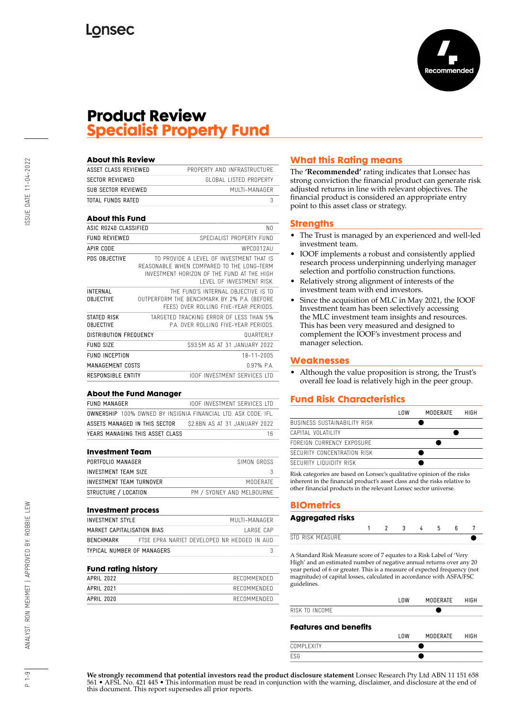

## **Product Review Specialist Property Fund**

| <b>About this Review</b>            |                                                                                                                                                                 |
|-------------------------------------|-----------------------------------------------------------------------------------------------------------------------------------------------------------------|
| ASSET CLASS REVIEWED                | PROPERTY AND INFRASTRUCTURE                                                                                                                                     |
| <b>SECTOR REVIEWED</b>              | GLOBAL LISTED PROPERTY                                                                                                                                          |
| SUB SECTOR REVIEWED                 | MUITI-MANAGER                                                                                                                                                   |
| TOTAL FUNDS RATED                   | 3                                                                                                                                                               |
| <b>About this Fund</b>              |                                                                                                                                                                 |
| ASIC RG240 CLASSIFIED               | N <sub>0</sub>                                                                                                                                                  |
| <b>FUND REVIEWED</b>                | SPECIALIST PROPERTY FUND                                                                                                                                        |
| APIR CODE                           | WPC0012AU                                                                                                                                                       |
| PDS OBJECTIVE                       | TO PROVIDE A LEVEL OF INVESTMENT THAT IS<br>REASONABLE WHEN COMPARED TO THE LONG-TERM<br>INVESTMENT HORIZON OF THE FUND AT THE HIGH<br>LEVEL OF INVESTMENT RISK |
| <b>INTERNAL</b><br><b>OBJECTIVE</b> | THE FUND'S INTERNAL OBJECTIVE IS TO<br>OUTPERFORM THE BENCHMARK BY 2% P.A. (BEFORE<br>FEES) OVER ROLLING FIVE-YEAR PERIODS.                                     |
| STATED RISK<br><b>OBJECTIVE</b>     | TARGETED TRACKING ERROR OF LESS THAN 5%<br>P.A. OVER ROLLING FIVE-YEAR PERIODS.                                                                                 |
| DISTRIBUTION FREQUENCY              | <b>QUARTERLY</b>                                                                                                                                                |
| <b>FUND SIZE</b>                    | \$93.5M AS AT 31 JANUARY 2022                                                                                                                                   |
| <b>FUND INCEPTION</b>               | 18-11-2005                                                                                                                                                      |
| MANAGEMENT COSTS                    | 0.97% PA                                                                                                                                                        |
| RESPONSIBLE ENTITY                  | <b>IOOF INVESTMENT SERVICES ITD</b>                                                                                                                             |

#### **About the Fund Manager**

| FUND MANAGER                                                          | <b>IOOF INVESTMENT SERVICES ITD</b> |
|-----------------------------------------------------------------------|-------------------------------------|
| <b>OWNERSHIP</b> 100% OWNED BY INSIGNIA FINANCIAL LTD. ASX CODE: IFL. |                                     |
| ASSETS MANAGED IN THIS SECTOR                                         | \$2.8BN AS AT 31 JANUARY 2022       |
| YEARS MANAGING THIS ASSET CLASS                                       | 16                                  |

#### **Investment Team**

| PORTFOLIO MANAGER        | SIMON GROSS                |
|--------------------------|----------------------------|
| INVESTMENT TEAM SIZE     |                            |
| INVESTMENT TEAM TURNOVER | MODERATE                   |
| STRUCTURE / LOCATION     | PM / SYDNEY AND MEI BOURNE |

#### **Investment process**

| <b>INVESTMENT STYLE</b>    | MUITI-MANAGER                               |           |
|----------------------------|---------------------------------------------|-----------|
| MARKET CAPITALISATION BIAS |                                             | LARGF CAP |
| <b>BENCHMARK</b>           | FTSF FPRA NARIFT DFVFLOPFD NR HFDGFD IN AUD |           |
| TYPICAL NUMBER OF MANAGERS |                                             |           |

#### **Fund rating history**

| APRIL 2022 | RECOMMENDED |  |
|------------|-------------|--|
| APRIL 2021 | RECOMMENDED |  |
| APRIL 2020 | RECOMMENDED |  |
|            |             |  |

## **What this Rating means**

The **'Recommended'** rating indicates that Lonsec has strong conviction the financial product can generate risk adjusted returns in line with relevant objectives. The financial product is considered an appropriate entry point to this asset class or strategy.

### **Strengths**

- The Trust is managed by an experienced and well-led investment team.
- IOOF implements a robust and consistently applied research process underpinning underlying manager selection and portfolio construction functions.
- Relatively strong alignment of interests of the investment team with end investors.
- Since the acquisition of MLC in May 2021, the IOOF Investment team has been selectively accessing the MLC investment team insights and resources. This has been very measured and designed to complement the IOOF's investment process and manager selection.

## **Weaknesses**

• Although the value proposition is strong, the Trust's overall fee load is relatively high in the peer group.

## **Fund Risk Characteristics**

|                              | l OW | MODERATE | HIGH |
|------------------------------|------|----------|------|
| BUSINESS SUSTAINABILITY RISK |      |          |      |
| CAPITAL VOLATILITY           |      |          |      |
| FORFIGN CURRENCY EXPOSURE    |      |          |      |
| SECURITY CONCENTRATION RISK  |      |          |      |
| SECURITY LIQUIDITY RISK      |      |          |      |

Risk categories are based on Lonsec's qualitative opinion of the risks inherent in the financial product's asset class and the risks relative to other financial products in the relevant Lonsec sector universe.

## **BIOmetrics**

### **Aggregated risks** 1 2 3 4 5 6 7 **STD RISK MEASURE**

A Standard Risk Measure score of 7 equates to a Risk Label of 'Very High' and an estimated number of negative annual returns over any 20 year period of 6 or greater. This is a measure of expected frequency (not magnitude) of capital losses, calculated in accordance with ASFA/FSC guidelines.

|                              | l OW | MODERATE | HIGH |
|------------------------------|------|----------|------|
| RISK TO INCOME               |      |          |      |
| <b>Features and benefits</b> | l OW | MODERATE | HIGH |
| COMPI FXITY                  |      |          |      |

**We strongly recommend that potential investors read the product disclosure statement** Lonsec Research Pty Ltd ABN 11 151 658 561 • AFSL No. 421 445 • This information must be read in conjunction with the warning, disclaimer, and disclosure at the end of this document. This report supersedes all prior reports.

ESG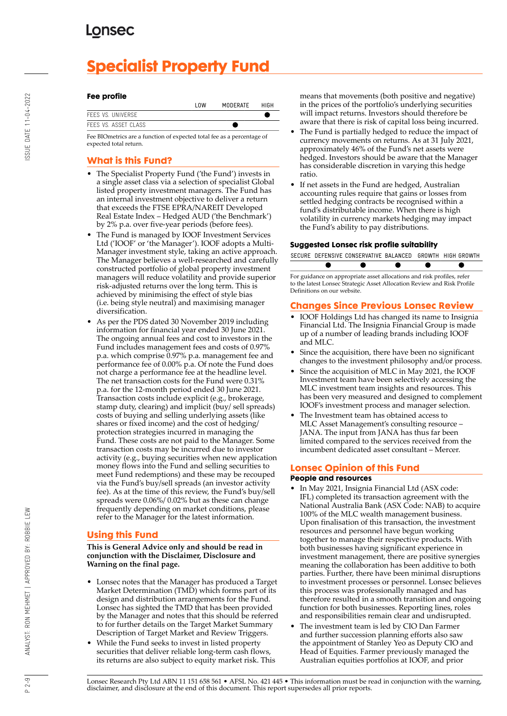# **Specialist Property Fund**

## **Fee profile**

FEES FFF<sub>S</sub>

|                     | l NW | MODERATE | HIGH |
|---------------------|------|----------|------|
| <b>VS. UNIVERSE</b> |      |          |      |
| VS. ASSET CLASS     |      |          |      |

Fee BIOmetrics are a function of expected total fee as a percentage of expected total return.

## **What is this Fund?**

- The Specialist Property Fund ('the Fund') invests in a single asset class via a selection of specialist Global listed property investment managers. The Fund has an internal investment objective to deliver a return that exceeds the FTSE EPRA/NAREIT Developed Real Estate Index – Hedged AUD ('the Benchmark') by 2% p.a. over five-year periods (before fees).
- The Fund is managed by IOOF Investment Services Ltd ('IOOF' or 'the Manager'). IOOF adopts a Multi-Manager investment style, taking an active approach. The Manager believes a well-researched and carefully constructed portfolio of global property investment managers will reduce volatility and provide superior risk-adjusted returns over the long term. This is achieved by minimising the effect of style bias (i.e. being style neutral) and maximising manager diversification.
- As per the PDS dated 30 November 2019 including information for financial year ended 30 June 2021. The ongoing annual fees and cost to investors in the Fund includes management fees and costs of 0.97% p.a. which comprise 0.97% p.a. management fee and performance fee of 0.00% p.a. Of note the Fund does not charge a performance fee at the headline level. The net transaction costs for the Fund were 0.31% p.a. for the 12-month period ended 30 June 2021. Transaction costs include explicit (e.g., brokerage, stamp duty, clearing) and implicit (buy/ sell spreads) costs of buying and selling underlying assets (like shares or fixed income) and the cost of hedging/ protection strategies incurred in managing the Fund. These costs are not paid to the Manager. Some transaction costs may be incurred due to investor activity (e.g., buying securities when new application money flows into the Fund and selling securities to meet Fund redemptions) and these may be recouped via the Fund's buy/sell spreads (an investor activity fee). As at the time of this review, the Fund's buy/sell spreads were 0.06%/ 0.02% but as these can change frequently depending on market conditions, please refer to the Manager for the latest information.

## **Using this Fund**

**This is General Advice only and should be read in conjunction with the Disclaimer, Disclosure and Warning on the final page.**

- Lonsec notes that the Manager has produced a Target Market Determination (TMD) which forms part of its design and distribution arrangements for the Fund. Lonsec has sighted the TMD that has been provided by the Manager and notes that this should be referred to for further details on the Target Market Summary Description of Target Market and Review Triggers.
- While the Fund seeks to invest in listed property securities that deliver reliable long-term cash flows, its returns are also subject to equity market risk. This

means that movements (both positive and negative) in the prices of the portfolio's underlying securities will impact returns. Investors should therefore be aware that there is risk of capital loss being incurred.

- The Fund is partially hedged to reduce the impact of currency movements on returns. As at 31 July 2021, approximately 46% of the Fund's net assets were hedged. Investors should be aware that the Manager has considerable discretion in varying this hedge ratio.
- If net assets in the Fund are hedged, Australian accounting rules require that gains or losses from settled hedging contracts be recognised within a fund's distributable income. When there is high volatility in currency markets hedging may impact the Fund's ability to pay distributions.

## **Suggested Lonsec risk profile suitability**

SECURE DEFENSIVE CONSERVATIVE BALANCED GROWTH HIGH GROWTH

For guidance on appropriate asset allocations and risk profiles, refer to the latest Lonsec Strategic Asset Allocation Review and Risk Profile Definitions on our website.

## **Changes Since Previous Lonsec Review**

- IOOF Holdings Ltd has changed its name to Insignia Financial Ltd. The Insignia Financial Group is made up of a number of leading brands including IOOF and MLC.
- Since the acquisition, there have been no significant changes to the investment philosophy and/or process.
- Since the acquisition of MLC in May 2021, the IOOF Investment team have been selectively accessing the MLC investment team insights and resources. This has been very measured and designed to complement IOOF's investment process and manager selection.
- The Investment team has obtained access to MLC Asset Management's consulting resource – JANA. The input from JANA has thus far been limited compared to the services received from the incumbent dedicated asset consultant – Mercer.

## **Lonsec Opinion of this Fund**

## **People and resources**

- In May 2021, Insignia Financial Ltd (ASX code: IFL) completed its transaction agreement with the National Australia Bank (ASX Code: NAB) to acquire 100% of the MLC wealth management business. Upon finalisation of this transaction, the investment resources and personnel have begun working together to manage their respective products. With both businesses having significant experience in investment management, there are positive synergies meaning the collaboration has been additive to both parties. Further, there have been minimal disruptions to investment processes or personnel. Lonsec believes this process was professionally managed and has therefore resulted in a smooth transition and ongoing function for both businesses. Reporting lines, roles and responsibilities remain clear and undisrupted.
- The investment team is led by CIO Dan Farmer and further succession planning efforts also saw the appointment of Stanley Yeo as Deputy CIO and Head of Equities. Farmer previously managed the Australian equities portfolios at IOOF, and prior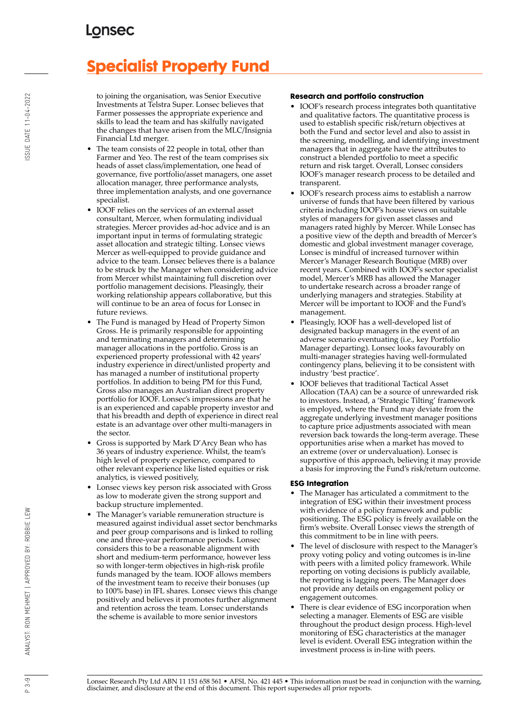# **Specialist Property Fund**

to joining the organisation, was Senior Executive Investments at Telstra Super. Lonsec believes that Farmer possesses the appropriate experience and skills to lead the team and has skilfully navigated the changes that have arisen from the MLC/Insignia Financial Ltd merger.

- The team consists of 22 people in total, other than Farmer and Yeo. The rest of the team comprises six heads of asset class/implementation, one head of governance, five portfolio/asset managers, one asset allocation manager, three performance analysts, three implementation analysts, and one governance specialist.
- IOOF relies on the services of an external asset consultant, Mercer, when formulating individual strategies. Mercer provides ad-hoc advice and is an important input in terms of formulating strategic asset allocation and strategic tilting. Lonsec views Mercer as well-equipped to provide guidance and advice to the team. Lonsec believes there is a balance to be struck by the Manager when considering advice from Mercer whilst maintaining full discretion over portfolio management decisions. Pleasingly, their working relationship appears collaborative, but this will continue to be an area of focus for Lonsec in future reviews.
- The Fund is managed by Head of Property Simon Gross. He is primarily responsible for appointing and terminating managers and determining manager allocations in the portfolio. Gross is an experienced property professional with 42 years' industry experience in direct/unlisted property and has managed a number of institutional property portfolios. In addition to being PM for this Fund, Gross also manages an Australian direct property portfolio for IOOF. Lonsec's impressions are that he is an experienced and capable property investor and that his breadth and depth of experience in direct real estate is an advantage over other multi-managers in the sector.
- Gross is supported by Mark D'Arcy Bean who has 36 years of industry experience. Whilst, the team's high level of property experience, compared to other relevant experience like listed equities or risk analytics, is viewed positively,
- Lonsec views key person risk associated with Gross as low to moderate given the strong support and backup structure implemented.
- The Manager's variable remuneration structure is measured against individual asset sector benchmarks and peer group comparisons and is linked to rolling one and three-year performance periods. Lonsec considers this to be a reasonable alignment with short and medium-term performance, however less so with longer-term objectives in high-risk profile funds managed by the team. IOOF allows members of the investment team to receive their bonuses (up to 100% base) in IFL shares. Lonsec views this change positively and believes it promotes further alignment and retention across the team. Lonsec understands the scheme is available to more senior investors

## **Research and portfolio construction**

- IOOF's research process integrates both quantitative and qualitative factors. The quantitative process is used to establish specific risk/return objectives at both the Fund and sector level and also to assist in the screening, modelling, and identifying investment managers that in aggregate have the attributes to construct a blended portfolio to meet a specific return and risk target. Overall, Lonsec considers IOOF's manager research process to be detailed and transparent.
- IOOF's research process aims to establish a narrow universe of funds that have been filtered by various criteria including IOOF's house views on suitable styles of managers for given asset classes and managers rated highly by Mercer. While Lonsec has a positive view of the depth and breadth of Mercer's domestic and global investment manager coverage, Lonsec is mindful of increased turnover within Mercer's Manager Research Boutique (MRB) over recent years. Combined with IOOF's sector specialist model, Mercer's MRB has allowed the Manager to undertake research across a broader range of underlying managers and strategies. Stability at Mercer will be important to IOOF and the Fund's management.
- Pleasingly, IOOF has a well-developed list of designated backup managers in the event of an adverse scenario eventuating (i.e., key Portfolio Manager departing). Lonsec looks favourably on multi-manager strategies having well-formulated contingency plans, believing it to be consistent with industry 'best practice'.
- IOOF believes that traditional Tactical Asset Allocation (TAA) can be a source of unrewarded risk to investors. Instead, a 'Strategic Tilting' framework is employed, where the Fund may deviate from the aggregate underlying investment manager positions to capture price adjustments associated with mean reversion back towards the long-term average. These opportunities arise when a market has moved to an extreme (over or undervaluation). Lonsec is supportive of this approach, believing it may provide a basis for improving the Fund's risk/return outcome.

### **ESG Integration**

- The Manager has articulated a commitment to the integration of ESG within their investment process with evidence of a policy framework and public positioning. The ESG policy is freely available on the firm's website. Overall Lonsec views the strength of this commitment to be in line with peers.
- The level of disclosure with respect to the Manager's proxy voting policy and voting outcomes is in-line with peers with a limited policy framework. While reporting on voting decisions is publicly available, the reporting is lagging peers. The Manager does not provide any details on engagement policy or engagement outcomes.
- There is clear evidence of ESG incorporation when selecting a manager. Elements of ESG are visible throughout the product design process. High-level monitoring of ESG characteristics at the manager level is evident. Overall ESG integration within the investment process is in-line with peers.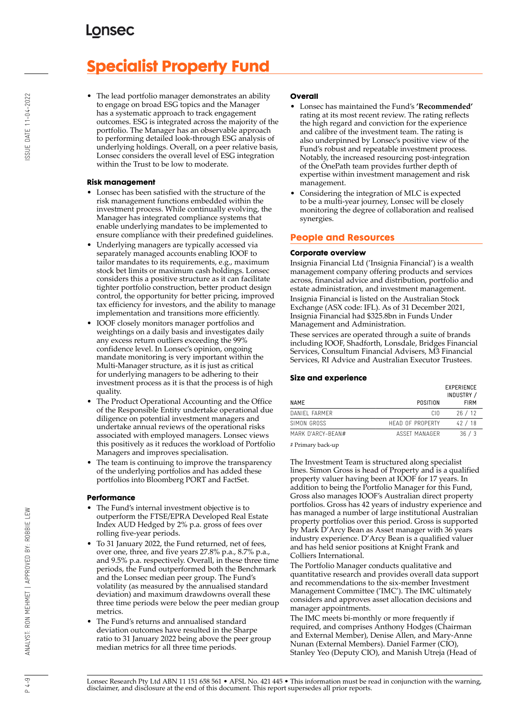# **Specialist Property Fund**

• The lead portfolio manager demonstrates an ability to engage on broad ESG topics and the Manager has a systematic approach to track engagement outcomes. ESG is integrated across the majority of the portfolio. The Manager has an observable approach to performing detailed look-through ESG analysis of underlying holdings. Overall, on a peer relative basis, Lonsec considers the overall level of ESG integration within the Trust to be low to moderate.

### **Risk management**

- Lonsec has been satisfied with the structure of the risk management functions embedded within the investment process. While continually evolving, the Manager has integrated compliance systems that enable underlying mandates to be implemented to ensure compliance with their predefined guidelines.
- Underlying managers are typically accessed via separately managed accounts enabling IOOF to tailor mandates to its requirements, e.g., maximum stock bet limits or maximum cash holdings. Lonsec considers this a positive structure as it can facilitate tighter portfolio construction, better product design control, the opportunity for better pricing, improved tax efficiency for investors, and the ability to manage implementation and transitions more efficiently.
- IOOF closely monitors manager portfolios and weightings on a daily basis and investigates daily any excess return outliers exceeding the 99% confidence level. In Lonsec's opinion, ongoing mandate monitoring is very important within the Multi-Manager structure, as it is just as critical for underlying managers to be adhering to their investment process as it is that the process is of high quality.
- The Product Operational Accounting and the Office of the Responsible Entity undertake operational due diligence on potential investment managers and undertake annual reviews of the operational risks associated with employed managers. Lonsec views this positively as it reduces the workload of Portfolio Managers and improves specialisation.
- The team is continuing to improve the transparency of the underlying portfolios and has added these portfolios into Bloomberg PORT and FactSet.

### **Performance**

- The Fund's internal investment objective is to outperform the FTSE/EPRA Developed Real Estate Index AUD Hedged by 2% p.a. gross of fees over rolling five-year periods.
- To 31 January 2022, the Fund returned, net of fees, over one, three, and five years 27.8% p.a., 8.7% p.a., and 9.5% p.a. respectively. Overall, in these three time periods, the Fund outperformed both the Benchmark and the Lonsec median peer group. The Fund's volatility (as measured by the annualised standard deviation) and maximum drawdowns overall these three time periods were below the peer median group metrics.
- The Fund's returns and annualised standard deviation outcomes have resulted in the Sharpe ratio to 31 January 2022 being above the peer group median metrics for all three time periods.

#### **Overall**

- Lonsec has maintained the Fund's **'Recommended'** rating at its most recent review. The rating reflects the high regard and conviction for the experience and calibre of the investment team. The rating is also underpinned by Lonsec's positive view of the Fund's robust and repeatable investment process. Notably, the increased resourcing post-integration of the OnePath team provides further depth of expertise within investment management and risk management.
- Considering the integration of MLC is expected to be a multi-year journey, Lonsec will be closely monitoring the degree of collaboration and realised synergies.

## **People and Resources**

### **Corporate overview**

Insignia Financial Ltd ('Insignia Financial') is a wealth management company offering products and services across, financial advice and distribution, portfolio and estate administration, and investment management. Insignia Financial is listed on the Australian Stock Exchange (ASX code: IFL). As of 31 December 2021, Insignia Financial had \$325.8bn in Funds Under Management and Administration.

These services are operated through a suite of brands including IOOF, Shadforth, Lonsdale, Bridges Financial Services, Consultum Financial Advisers, M3 Financial Services, RI Advice and Australian Executor Trustees.

## **Size and experience**

| <b>NAME</b>       | POSITION         | <b>EXPERIENCE</b><br>INDUSTRY /<br><b>FIRM</b> |
|-------------------|------------------|------------------------------------------------|
|                   |                  |                                                |
| DANIFI FARMER     | CIO              | 26/12                                          |
| SIMON GROSS       | HEAD OF PROPERTY | 42/18                                          |
| MARK D'ARCY-REAN# | ASSET MANAGER    | 36/3                                           |
|                   |                  |                                                |

# Primary back-up

The Investment Team is structured along specialist lines. Simon Gross is head of Property and is a qualified property valuer having been at IOOF for 17 years. In addition to being the Portfolio Manager for this Fund, Gross also manages IOOF's Australian direct property portfolios. Gross has 42 years of industry experience and has managed a number of large institutional Australian property portfolios over this period. Gross is supported by Mark D'Arcy Bean as Asset manager with 36 years industry experience. D'Arcy Bean is a qualified valuer and has held senior positions at Knight Frank and Colliers International.

The Portfolio Manager conducts qualitative and quantitative research and provides overall data support and recommendations to the six-member Investment Management Committee ('IMC'). The IMC ultimately considers and approves asset allocation decisions and manager appointments.

The IMC meets bi-monthly or more frequently if required, and comprises Anthony Hodges (Chairman and External Member), Denise Allen, and Mary-Anne Nunan (External Members). Daniel Farmer (CIO), Stanley Yeo (Deputy CIO), and Manish Utreja (Head of

 $4 - 9$ 

Lonsec Research Pty Ltd ABN 11 151 658 561 • AFSL No. 421 445 • This information must be read in conjunction with the warning, disclaimer, and disclosure at the end of this document. This report supersedes all prior reports.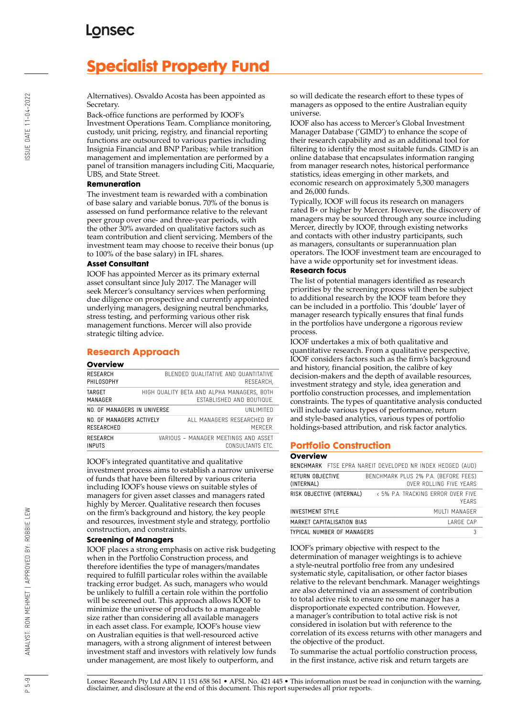# **Specialist Property Fund**

Alternatives). Osvaldo Acosta has been appointed as Secretary.

Back-office functions are performed by IOOF's

Investment Operations Team. Compliance monitoring, custody, unit pricing, registry, and financial reporting functions are outsourced to various parties including Insignia Financial and BNP Paribas; while transition management and implementation are performed by a panel of transition managers including Citi, Macquarie, UBS, and State Street.

### **Remuneration**

The investment team is rewarded with a combination of base salary and variable bonus. 70% of the bonus is assessed on fund performance relative to the relevant peer group over one- and three-year periods, with the other 30% awarded on qualitative factors such as team contribution and client servicing. Members of the investment team may choose to receive their bonus (up to 100% of the base salary) in IFL shares.

### **Asset Consultant**

IOOF has appointed Mercer as its primary external asset consultant since July 2017. The Manager will seek Mercer's consultancy services when performing due diligence on prospective and currently appointed underlying managers, designing neutral benchmarks, stress testing, and performing various other risk management functions. Mercer will also provide strategic tilting advice.

## **Research Approach**

| Overview                               |                                                                                |
|----------------------------------------|--------------------------------------------------------------------------------|
| RESEARCH<br>PHILOSOPHY                 | BLENDED QUALITATIVE AND QUANTITATIVE<br>RESEARCH.                              |
| TARGET<br>MANAGER                      | HIGH QUALITY BETA AND ALPHA MANAGERS, BOTH<br><b>FSTABLISHED AND BOUTIQUE.</b> |
| NO. OF MANAGERS IN UNIVERSE            | UNI IMITED                                                                     |
| NO. OF MANAGERS ACTIVELY<br>RESEARCHED | ALL MANAGERS RESEARCHED BY<br>MFRCFR.                                          |
| RESEARCH<br><b>INPUTS</b>              | VARIOUS - MANAGER MEETINGS AND ASSET<br>CONSULTANTS FTC.                       |

IOOF's integrated quantitative and qualitative investment process aims to establish a narrow universe of funds that have been filtered by various criteria including IOOF's house views on suitable styles of managers for given asset classes and managers rated highly by Mercer. Qualitative research then focuses on the firm's background and history, the key people and resources, investment style and strategy, portfolio construction, and constraints.

## **Screening of Managers**

IOOF places a strong emphasis on active risk budgeting when in the Portfolio Construction process, and therefore identifies the type of managers/mandates required to fulfill particular roles within the available tracking error budget. As such, managers who would be unlikely to fulfill a certain role within the portfolio will be screened out. This approach allows IOOF to minimize the universe of products to a manageable size rather than considering all available managers in each asset class. For example, IOOF's house view on Australian equities is that well-resourced active managers, with a strong alignment of interest between investment staff and investors with relatively low funds under management, are most likely to outperform, and

so will dedicate the research effort to these types of managers as opposed to the entire Australian equity universe.

IOOF also has access to Mercer's Global Investment Manager Database ('GIMD') to enhance the scope of their research capability and as an additional tool for filtering to identify the most suitable funds. GIMD is an online database that encapsulates information ranging from manager research notes, historical performance statistics, ideas emerging in other markets, and economic research on approximately 5,300 managers and 26,000 funds.

Typically, IOOF will focus its research on managers rated B+ or higher by Mercer. However, the discovery of managers may be sourced through any source including Mercer, directly by IOOF, through existing networks and contacts with other industry participants, such as managers, consultants or superannuation plan operators. The IOOF investment team are encouraged to have a wide opportunity set for investment ideas.

## **Research focus**

The list of potential managers identified as research priorities by the screening process will then be subject to additional research by the IOOF team before they can be included in a portfolio. This 'double' layer of manager research typically ensures that final funds in the portfolios have undergone a rigorous review process.

IOOF undertakes a mix of both qualitative and quantitative research. From a qualitative perspective, IOOF considers factors such as the firm's background and history, financial position, the calibre of key decision-makers and the depth of available resources, investment strategy and style, idea generation and portfolio construction processes, and implementation constraints. The types of quantitative analysis conducted will include various types of performance, return and style-based analytics, various types of portfolio holdings-based attribution, and risk factor analytics.

## **Portfolio Construction**

| Overview                                                   |  |                                                                                                                                                                                                                                 |  |  |
|------------------------------------------------------------|--|---------------------------------------------------------------------------------------------------------------------------------------------------------------------------------------------------------------------------------|--|--|
| BENCHMARK FTSE EPRA NAREIT DEVELOPED NR INDEX HEDGED (AUD) |  |                                                                                                                                                                                                                                 |  |  |
|                                                            |  | $\sim$ . The contract of the contract of the contract of the contract of the contract of the contract of the contract of the contract of the contract of the contract of the contract of the contract of the contract of the co |  |  |

|                                | <b>DENUMPIANN</b> FISE EFNA NANEII DEVELUFED NN INDEA MEDUED (AUD) |
|--------------------------------|--------------------------------------------------------------------|
| RETURN OBJECTIVE<br>(INTERNAL) | BENCHMARK PLUS 2% P.A. (BEFORE FEES)<br>OVER ROLLING FIVE YEARS    |
| RISK OBJECTIVE (INTERNAL)      | < 5% P.A. TRACKING ERROR OVER FIVE<br><b>YFARS</b>                 |
| <b>INVESTMENT STYLE</b>        | MUITI MANAGER                                                      |
| MARKET CAPITALISATION BIAS     | LARGF CAP                                                          |
| TYPICAL NUMBER OF MANAGERS     |                                                                    |

IOOF's primary objective with respect to the determination of manager weightings is to achieve a style-neutral portfolio free from any undesired systematic style, capitalisation, or other factor biases relative to the relevant benchmark. Manager weightings are also determined via an assessment of contribution to total active risk to ensure no one manager has a disproportionate expected contribution. However, a manager's contribution to total active risk is not considered in isolation but with reference to the correlation of its excess returns with other managers and the objective of the product.

To summarise the actual portfolio construction process, in the first instance, active risk and return targets are

 $-5 - 9$  $\alpha$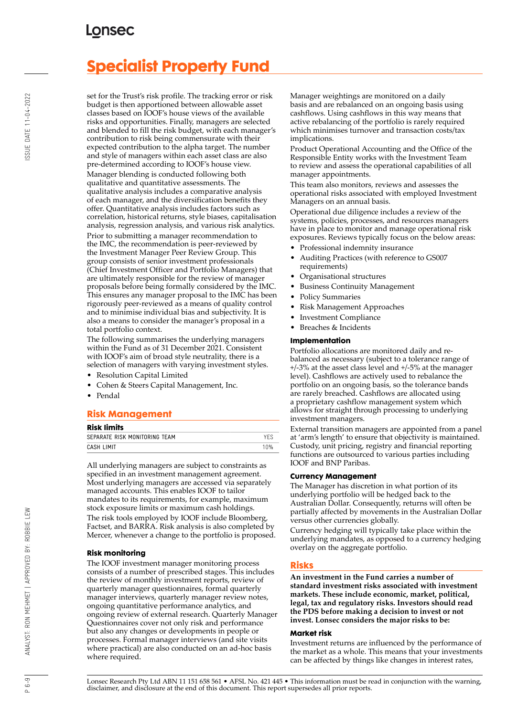# **Specialist Property Fund**

set for the Trust's risk profile. The tracking error or risk budget is then apportioned between allowable asset classes based on IOOF's house views of the available risks and opportunities. Finally, managers are selected and blended to fill the risk budget, with each manager's contribution to risk being commensurate with their expected contribution to the alpha target. The number and style of managers within each asset class are also pre-determined according to IOOF's house view. Manager blending is conducted following both qualitative and quantitative assessments. The qualitative analysis includes a comparative analysis of each manager, and the diversification benefits they offer. Quantitative analysis includes factors such as correlation, historical returns, style biases, capitalisation analysis, regression analysis, and various risk analytics. Prior to submitting a manager recommendation to the IMC, the recommendation is peer-reviewed by the Investment Manager Peer Review Group. This group consists of senior investment professionals (Chief Investment Officer and Portfolio Managers) that are ultimately responsible for the review of manager proposals before being formally considered by the IMC. This ensures any manager proposal to the IMC has been rigorously peer-reviewed as a means of quality control and to minimise individual bias and subjectivity. It is also a means to consider the manager's proposal in a total portfolio context.

The following summarises the underlying managers within the Fund as of 31 December 2021. Consistent with IOOF's aim of broad style neutrality, there is a selection of managers with varying investment styles.

- Resolution Capital Limited
- Cohen & Steers Capital Management, Inc.
- Pendal

## **Risk Management**

### **Risk limits**

| NDR IIIIIIIJ                  |      |
|-------------------------------|------|
| SEPARATE RISK MONITORING TEAM |      |
| CASH LIMIT                    | 1 በ% |
|                               |      |

All underlying managers are subject to constraints as specified in an investment management agreement. Most underlying managers are accessed via separately managed accounts. This enables IOOF to tailor mandates to its requirements, for example, maximum stock exposure limits or maximum cash holdings. The risk tools employed by IOOF include Bloomberg, Factset, and BARRA. Risk analysis is also completed by Mercer, whenever a change to the portfolio is proposed.

## **Risk monitoring**

The IOOF investment manager monitoring process consists of a number of prescribed stages. This includes the review of monthly investment reports, review of quarterly manager questionnaires, formal quarterly manager interviews, quarterly manager review notes, ongoing quantitative performance analytics, and ongoing review of external research. Quarterly Manager Questionnaires cover not only risk and performance but also any changes or developments in people or processes. Formal manager interviews (and site visits where practical) are also conducted on an ad-hoc basis where required.

Manager weightings are monitored on a daily basis and are rebalanced on an ongoing basis using cashflows. Using cashflows in this way means that active rebalancing of the portfolio is rarely required which minimises turnover and transaction costs/tax implications.

Product Operational Accounting and the Office of the Responsible Entity works with the Investment Team to review and assess the operational capabilities of all manager appointments.

This team also monitors, reviews and assesses the operational risks associated with employed Investment Managers on an annual basis.

Operational due diligence includes a review of the systems, policies, processes, and resources managers have in place to monitor and manage operational risk exposures. Reviews typically focus on the below areas:

- Professional indemnity insurance
- Auditing Practices (with reference to GS007 requirements)
- Organisational structures
- Business Continuity Management
- Policy Summaries
- Risk Management Approaches
- Investment Compliance
- Breaches & Incidents

#### **Implementation**

Portfolio allocations are monitored daily and rebalanced as necessary (subject to a tolerance range of +/-3% at the asset class level and +/-5% at the manager level). Cashflows are actively used to rebalance the portfolio on an ongoing basis, so the tolerance bands are rarely breached. Cashflows are allocated using a proprietary cashflow management system which allows for straight through processing to underlying investment managers.

External transition managers are appointed from a panel at 'arm's length' to ensure that objectivity is maintained. Custody, unit pricing, registry and financial reporting functions are outsourced to various parties including IOOF and BNP Paribas.

### **Currency Management**

The Manager has discretion in what portion of its underlying portfolio will be hedged back to the Australian Dollar. Consequently, returns will often be partially affected by movements in the Australian Dollar versus other currencies globally.

Currency hedging will typically take place within the underlying mandates, as opposed to a currency hedging overlay on the aggregate portfolio.

## **Risks**

**An investment in the Fund carries a number of standard investment risks associated with investment markets. These include economic, market, political, legal, tax and regulatory risks. Investors should read the PDS before making a decision to invest or not invest. Lonsec considers the major risks to be:**

### **Market risk**

Investment returns are influenced by the performance of the market as a whole. This means that your investments can be affected by things like changes in interest rates,

Lonsec Research Pty Ltd ABN 11 151 658 561 • AFSL No. 421 445 • This information must be read in conjunction with the warning, disclaimer, and disclosure at the end of this document. This report supersedes all prior reports.

ANALYST: RON MEHMET | APPROVED BY: ROBBIE LEW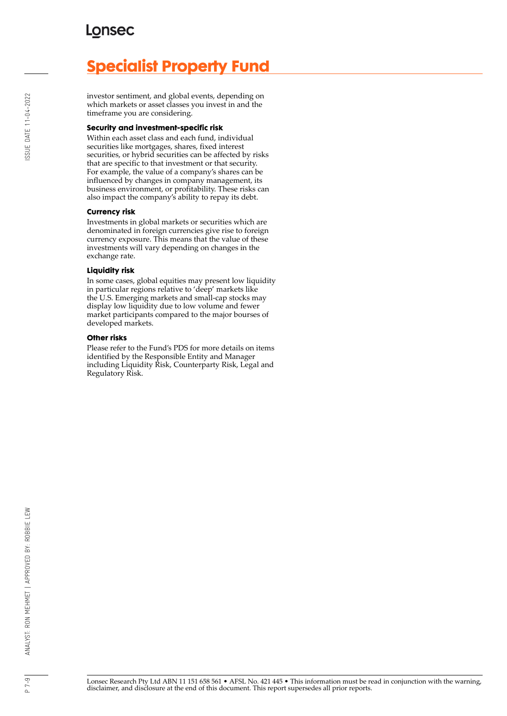# **Specialist Property Fund**

investor sentiment, and global events, depending on which markets or asset classes you invest in and the timeframe you are considering.

#### **Security and investment-specific risk**

Within each asset class and each fund, individual securities like mortgages, shares, fixed interest securities, or hybrid securities can be affected by risks that are specific to that investment or that security. For example, the value of a company's shares can be influenced by changes in company management, its business environment, or profitability. These risks can also impact the company's ability to repay its debt.

### **Currency risk**

Investments in global markets or securities which are denominated in foreign currencies give rise to foreign currency exposure. This means that the value of these investments will vary depending on changes in the exchange rate.

#### **Liquidity risk**

In some cases, global equities may present low liquidity in particular regions relative to 'deep' markets like the U.S. Emerging markets and small-cap stocks may display low liquidity due to low volume and fewer market participants compared to the major bourses of developed markets.

#### **Other risks**

Please refer to the Fund's PDS for more details on items identified by the Responsible Entity and Manager including Liquidity Risk, Counterparty Risk, Legal and Regulatory Risk.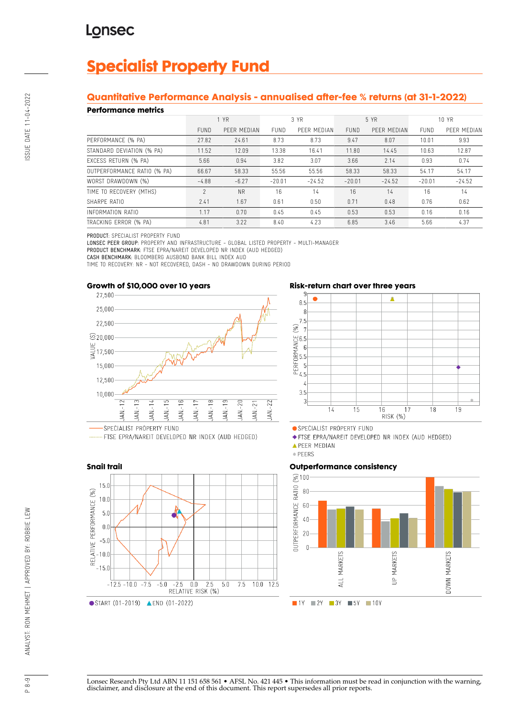# **Specialist Property Fund**

## **Quantitative Performance Analysis - annualised after-fee % returns (at 31-1-2022)**

## **Performance metrics**

| . YN SITTINISY MITHY        |             |             |             |             |             |             |          |             |
|-----------------------------|-------------|-------------|-------------|-------------|-------------|-------------|----------|-------------|
|                             | 1 YR        |             | 3 YR        |             | 5 YR        |             | 10 YR    |             |
|                             | <b>FUND</b> | PEER MEDIAN | <b>FUND</b> | PEER MEDIAN | <b>FUND</b> | PEER MEDIAN | FUND     | PEER MEDIAN |
| PERFORMANCE (% PA)          | 27.82       | 24.61       | 8.73        | 8.73        | 9.47        | 8.07        | 10.01    | 9.93        |
| STANDARD DEVIATION (% PA)   | 11.52       | 12.09       | 13.38       | 16.41       | 11.80       | 14.45       | 10.63    | 12.87       |
| EXCESS RETURN (% PA)        | 5.66        | 0.94        | 3.82        | 3.07        | 3.66        | 2.14        | 0.93     | 0.74        |
| OUTPERFORMANCE RATIO (% PA) | 66.67       | 58.33       | 55.56       | 55.56       | 58.33       | 58.33       | 54.17    | 54.17       |
| WORST DRAWDOWN (%)          | $-4.88$     | $-6.27$     | $-20.01$    | $-24.52$    | $-20.01$    | $-24.52$    | $-20.01$ | $-24.52$    |
| TIME TO RECOVERY (MTHS)     | 2           | <b>NR</b>   | 16          | 14          | 16          | 14          | 16       | 14          |
| SHARPF RATIO                | 2.41        | 1.67        | 0.61        | 0.50        | 0.71        | 0.48        | 0.76     | 0.62        |
| INFORMATION RATIO           | 1.17        | 0.70        | 0.45        | 0.45        | 0.53        | 0.53        | 0.16     | 0.16        |
| TRACKING ERROR (% PA)       | 4.81        | 3.22        | 8.40        | 4.23        | 6.85        | 3.46        | 5.66     | 4.37        |

PRODUCT: SPECIALIST PROPERTY FUND

LONSEC PEER GROUP: PROPERTY AND INFRASTRUCTURE - GLOBAL LISTED PROPERTY - MULTI-MANAGER

PRODUCT BENCHMARK: FTSE EPRA/NAREIT DEVELOPED NR INDEX (AUD HEDGED)

CASH BENCHMARK: BLOOMBERG AUSBOND BANK BILL INDEX AUD

TIME TO RECOVERY: NR - NOT RECOVERED, DASH - NO DRAWDOWN DURING PERIOD



..... FTSE EPRA/NAREIT DEVELOPED NR INDEX (AUD HEDGED)



## **Risk-return chart over three years**



SPECIALIST PROPERTY FUND

◆ FTSE EPRA/NAREIT DEVELOPED NR INDEX (AUD HEDGED)

· PEERS

## **Outperformance consistency**



**APEER MEDIAN**